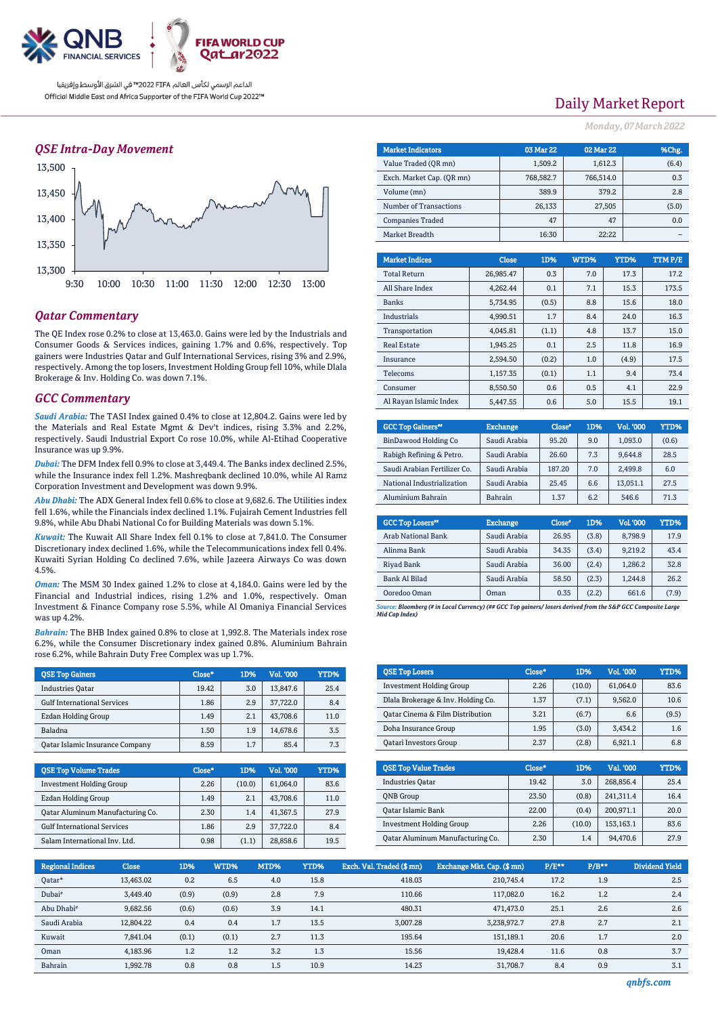

### *QSE Intra-Day Movement*



### *Qatar Commentary*

The QE Index rose 0.2% to close at 13,463.0. Gains were led by the Industrials and Consumer Goods & Services indices, gaining 1.7% and 0.6%, respectively. Top gainers were Industries Qatar and Gulf International Services, rising 3% and 2.9%, respectively. Among the top losers, Investment Holding Group fell 10%, while Dlala Brokerage & Inv. Holding Co. was down 7.1%.

### *GCC Commentary*

*Saudi Arabia:* The TASI Index gained 0.4% to close at 12,804.2. Gains were led by the Materials and Real Estate Mgmt & Dev't indices, rising 3.3% and 2.2%, respectively. Saudi Industrial Export Co rose 10.0%, while Al-Etihad Cooperative Insurance was up 9.9%.

*Dubai:* The DFM Index fell 0.9% to close at 3,449.4. The Banks index declined 2.5%, while the Insurance index fell 1.2%. Mashreqbank declined 10.0%, while Al Ramz Corporation Investment and Development was down 9.9%.

*Abu Dhabi:* The ADX General Index fell 0.6% to close at 9,682.6. The Utilities index fell 1.6%, while the Financials index declined 1.1%. Fujairah Cement Industries fell 9.8%, while Abu Dhabi National Co for Building Materials was down 5.1%.

*Kuwait:* The Kuwait All Share Index fell 0.1% to close at 7,841.0. The Consumer Discretionary index declined 1.6%, while the Telecommunications index fell 0.4%. Kuwaiti Syrian Holding Co declined 7.6%, while Jazeera Airways Co was down 4.5%.

*Oman:* The MSM 30 Index gained 1.2% to close at 4,184.0. Gains were led by the Financial and Industrial indices, rising 1.2% and 1.0%, respectively. Oman Investment & Finance Company rose 5.5%, while Al Omaniya Financial Services was up 4.2%.

*Bahrain:* The BHB Index gained 0.8% to close at 1,992.8. The Materials index rose 6.2%, while the Consumer Discretionary index gained 0.8%. Aluminium Bahrain rose 6.2%, while Bahrain Duty Free Complex was up 1.7%.

| <b>QSE Top Gainers</b>                 | Close* | 1D% | Vol. '000 | YTD% |
|----------------------------------------|--------|-----|-----------|------|
| <b>Industries Oatar</b>                | 19.42  | 3.0 | 13.847.6  | 25.4 |
| <b>Gulf International Services</b>     | 1.86   | 2.9 | 37.722.0  | 8.4  |
| Ezdan Holding Group                    | 1.49   | 2.1 | 43.708.6  | 11.0 |
| Baladna                                | 1.50   | 1.9 | 14.678.6  | 3.5  |
| <b>Qatar Islamic Insurance Company</b> | 8.59   | 1.7 | 85.4      | 7.3  |

| <b>OSE Top Volume Trades</b>       | Close* | <b>1D%</b> | <b>Vol. '000</b> | YTD% |
|------------------------------------|--------|------------|------------------|------|
| <b>Investment Holding Group</b>    | 2.26   | (10.0)     | 61.064.0         | 83.6 |
| Ezdan Holding Group                | 1.49   | 2.1        | 43.708.6         | 11.0 |
| Qatar Aluminum Manufacturing Co.   | 2.30   | 1.4        | 41,367.5         | 27.9 |
| <b>Gulf International Services</b> | 1.86   | 2.9        | 37.722.0         | 8.4  |
| Salam International Inv. Ltd.      | 0.98   | (1.1)      | 28,858.6         | 19.5 |

## Daily Market Report

*Monday, 07March2022*

| <b>Market Indicators</b>  | 03 Mar 22 | 02 Mar 22 | %Chg. |
|---------------------------|-----------|-----------|-------|
| Value Traded (OR mn)      | 1,509.2   | 1,612.3   | (6.4) |
| Exch. Market Cap. (OR mn) | 768,582.7 | 766,514.0 | 0.3   |
| Volume (mn)               | 389.9     | 379.2     | 2.8   |
| Number of Transactions    | 26,133    | 27,505    | (5.0) |
| <b>Companies Traded</b>   | 47        | 47        | 0.0   |
| Market Breadth            | 16:30     | 22:22     |       |

| <b>Market Indices</b>  | <b>Close</b> | 1D%   | WTD% | YTD%  | TTM P/E |
|------------------------|--------------|-------|------|-------|---------|
| <b>Total Return</b>    | 26.985.47    | 0.3   | 7.0  | 17.3  | 17.2    |
| All Share Index        | 4.262.44     | 0.1   | 7.1  | 15.3  | 173.5   |
| <b>Banks</b>           | 5.734.95     | (0.5) | 8.8  | 15.6  | 18.0    |
| Industrials            | 4.990.51     | 1.7   | 8.4  | 24.0  | 16.3    |
| Transportation         | 4.045.81     | (1.1) | 4.8  | 13.7  | 15.0    |
| <b>Real Estate</b>     | 1.945.25     | 0.1   | 2.5  | 11.8  | 16.9    |
| Insurance              | 2.594.50     | (0.2) | 1.0  | (4.9) | 17.5    |
| Telecoms               | 1,157.35     | (0.1) | 1.1  | 9.4   | 73.4    |
| Consumer               | 8.550.50     | 0.6   | 0.5  | 4.1   | 22.9    |
| Al Rayan Islamic Index | 5.447.55     | 0.6   | 5.0  | 15.5  | 19.1    |

| <b>GCC Top Gainers</b> "     | <b>Exchange</b> | Close* | 1D% | Vol. '000 | YTD%  |
|------------------------------|-----------------|--------|-----|-----------|-------|
| BinDawood Holding Co         | Saudi Arabia    | 95.20  | 9.0 | 1.093.0   | (0.6) |
| Rabigh Refining & Petro.     | Saudi Arabia    | 26.60  | 7.3 | 9.644.8   | 28.5  |
| Saudi Arabian Fertilizer Co. | Saudi Arabia    | 187.20 | 7.0 | 2.499.8   | 6.0   |
| National Industrialization   | Saudi Arabia    | 25.45  | 6.6 | 13,051.1  | 27.5  |
| Aluminium Bahrain            | <b>Bahrain</b>  | 1.37   | 6.2 | 546.6     | 71.3  |

| <b>GCC Top Losers</b> " | <b>Exchange</b> | Close <sup>®</sup> | 1D%   | <b>Vol.'000</b> | YTD%  |
|-------------------------|-----------------|--------------------|-------|-----------------|-------|
| Arab National Bank      | Saudi Arabia    | 26.95              | (3.8) | 8,798.9         | 17.9  |
| Alinma Bank             | Saudi Arabia    | 34.35              | (3.4) | 9.219.2         | 43.4  |
| Riyad Bank              | Saudi Arabia    | 36.00              | (2.4) | 1.286.2         | 32.8  |
| Bank Al Bilad           | Saudi Arabia    | 58.50              | (2.3) | 1,244.8         | 26.2  |
| Ooredoo Oman            | Oman            | 0.35               | (2.2) | 661.6           | (7.9) |

*Source: Bloomberg (# in Local Currency) (## GCC Top gainers/ losers derived from the S&P GCC Composite Large Mid Cap Index)*

| <b>QSE Top Losers</b>              | Close* | 1D%    | <b>Vol. '000</b> | YTD%  |
|------------------------------------|--------|--------|------------------|-------|
| <b>Investment Holding Group</b>    | 2.26   | (10.0) | 61.064.0         | 83.6  |
| Dlala Brokerage & Inv. Holding Co. | 1.37   | (7.1)  | 9,562.0          | 10.6  |
| Oatar Cinema & Film Distribution   | 3.21   | (6.7)  | 6.6              | (9.5) |
| Doha Insurance Group               | 1.95   | (3.0)  | 3.434.2          | 1.6   |
| <b>Qatari Investors Group</b>      | 2.37   | (2.8)  | 6.921.1          | 6.8   |

| <b>QSE Top Value Trades</b>             | Close* | 1D%    | Val. '000 | YTD% |
|-----------------------------------------|--------|--------|-----------|------|
| <b>Industries Oatar</b>                 | 19.42  | 3.0    | 268.856.4 | 25.4 |
| <b>ONB</b> Group                        | 23.50  | (0.8)  | 241.311.4 | 16.4 |
| Qatar Islamic Bank                      | 22.00  | (0.4)  | 200.971.1 | 20.0 |
| <b>Investment Holding Group</b>         | 2.26   | (10.0) | 153,163.1 | 83.6 |
| <b>Qatar Aluminum Manufacturing Co.</b> | 2.30   | 1.4    | 94.470.6  | 27.9 |

| Regional Indices       | <b>Close</b> | 1D%   | WTD%  | MTD% | YTD% | Exch. Val. Traded (\$ mn) | Exchange Mkt. Cap. (\$ mn) | $P/E***$ | $P/B**$ | Dividend Yield |
|------------------------|--------------|-------|-------|------|------|---------------------------|----------------------------|----------|---------|----------------|
| Qatar*                 | 13.463.02    | 0.2   | 6.5   | 4.0  | 15.8 | 418.03                    | 210,745.4                  | 17.2     | 1.9     | 2.5            |
| Dubai <sup>#</sup>     | 3.449.40     | (0.9) | (0.9) | 2.8  | 7.9  | 110.66                    | 117.082.0                  | 16.2     | 1.2     | 2.4            |
| Abu Dhabi <sup>#</sup> | 9.682.56     | (0.6) | (0.6) | 3.9  | 14.1 | 480.31                    | 471.473.0                  | 25.1     | 2.6     | 2.6            |
| Saudi Arabia           | 12.804.22    | 0.4   | 0.4   | 1.7  | 13.5 | 3.007.28                  | 3,238,972.7                | 27.8     | 2.7     | 2.1            |
| Kuwait                 | 7.841.04     | (0.1) | (0.1) | 2.7  | 11.3 | 195.64                    | 151,189.1                  | 20.6     | 1.7     | 2.0            |
| Oman                   | 4.183.96     | 1.2   | 1.2   | 3.2  | 1.3  | 15.56                     | 19.428.4                   | 11.6     | 0.8     | 3.7            |
| Bahrain                | 1.992.78     | 0.8   | 0.8   | 1.5  | 10.9 | 14.23                     | 31.708.7                   | 8.4      | 0.9     | 3.1            |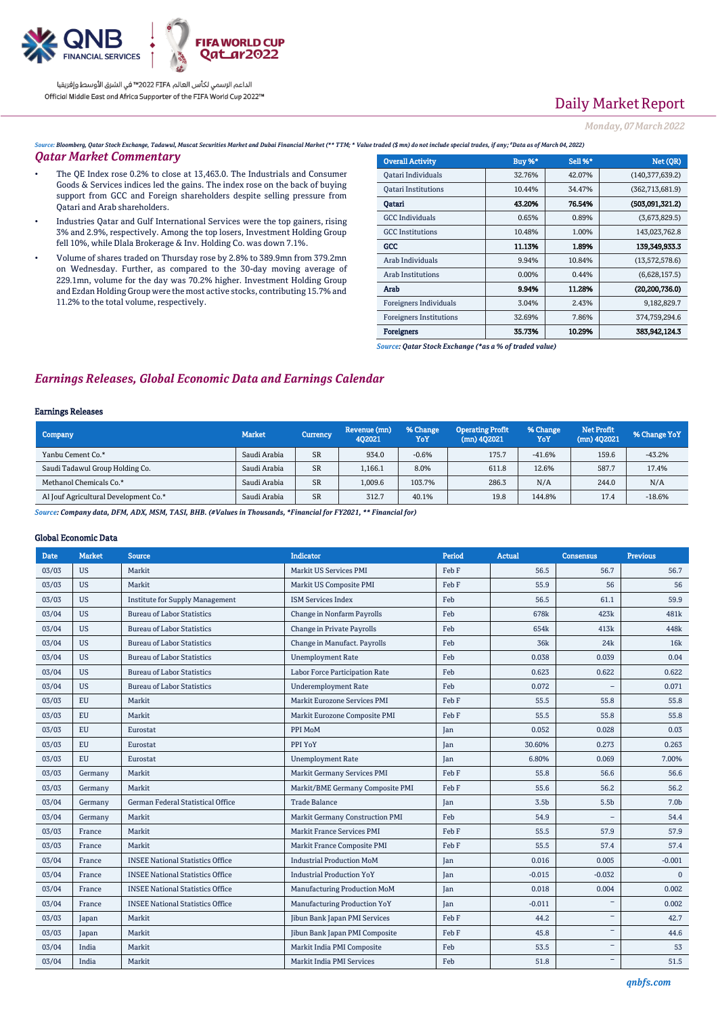

# Daily Market Report

### *Monday, 07March2022*

*Source: Bloomberg, Qatar Stock Exchange, Tadawul, Muscat Securities Market and Dubai Financial Market (\*\* TTM; \* Value traded (\$ mn) do not include special trades, if any; #Data as of March 04, 2022)*

### *Qatar Market Commentary*

- The QE Index rose 0.2% to close at 13,463.0. The Industrials and Consumer Goods & Services indices led the gains. The index rose on the back of buying support from GCC and Foreign shareholders despite selling pressure from Qatari and Arab shareholders.
- Industries Qatar and Gulf International Services were the top gainers, rising 3% and 2.9%, respectively. Among the top losers, Investment Holding Group fell 10%, while Dlala Brokerage & Inv. Holding Co. was down 7.1%.
- Volume of shares traded on Thursday rose by 2.8% to 389.9mn from 379.2mn on Wednesday. Further, as compared to the 30-day moving average of 229.1mn, volume for the day was 70.2% higher. Investment Holding Group and Ezdan Holding Group were the most active stocks, contributing 15.7% and 11.2% to the total volume, respectively.

| <b>Overall Activity</b>        | <b>Buy %*</b> | Sell %* | Net (QR)          |
|--------------------------------|---------------|---------|-------------------|
| Qatari Individuals             | 32.76%        | 42.07%  | (140, 377, 639.2) |
| <b>Oatari Institutions</b>     | 10.44%        | 34.47%  | (362, 713, 681.9) |
| Oatari                         | 43.20%        | 76.54%  | (503,091,321.2)   |
| <b>GCC</b> Individuals         | 0.65%         | 0.89%   | (3,673,829.5)     |
| <b>GCC</b> Institutions        | 10.48%        | 1.00%   | 143,023,762.8     |
| GCC                            | 11.13%        | 1.89%   | 139.349.933.3     |
| Arab Individuals               | 9.94%         | 10.84%  | (13,572,578.6)    |
| Arab Institutions              | 0.00%         | 0.44%   | (6,628,157.5)     |
| Arab                           | 9.94%         | 11.28%  | (20, 200, 736.0)  |
| Foreigners Individuals         | 3.04%         | 2.43%   | 9,182,829.7       |
| <b>Foreigners Institutions</b> | 32.69%        | 7.86%   | 374,759,294.6     |
| <b>Foreigners</b>              | 35.73%        | 10.29%  | 383.942.124.3     |

*Source: Qatar Stock Exchange (\*as a % of traded value)*

### *Earnings Releases, Global Economic Data and Earnings Calendar*

#### Earnings Releases

| <b>Company</b>                        | <b>Market</b> | Currency  | Revenue (mn)<br>402021 | % Change<br>YoY | <b>Operating Profit</b><br>$(mn)$ 402021 | % Change<br>YoY | Net Profit<br>$(mn)$ 4Q2021 | % Change YoY |
|---------------------------------------|---------------|-----------|------------------------|-----------------|------------------------------------------|-----------------|-----------------------------|--------------|
| Yanbu Cement Co.*                     | Saudi Arabia  | <b>SR</b> | 934.0                  | $-0.6%$         | 175.7                                    | $-41.6%$        | 159.6                       | $-43.2%$     |
| Saudi Tadawul Group Holding Co.       | Saudi Arabia  | <b>SR</b> | 1.166.1                | 8.0%            | 611.8                                    | 12.6%           | 587.7                       | 17.4%        |
| Methanol Chemicals Co.*               | Saudi Arabia  | <b>SR</b> | 1,009.6                | 103.7%          | 286.3                                    | N/A             | 244.0                       | N/A          |
| Al Jouf Agricultural Development Co.* | Saudi Arabia  | <b>SR</b> | 312.7                  | 40.1%           | 19.8                                     | 144.8%          | 17.4                        | $-18.6%$     |

*Source: Company data, DFM, ADX, MSM, TASI, BHB. (#Values in Thousands, \*Financial for FY2021, \*\* Financial for)*

#### Global Economic Data

| <b>Date</b> | <b>Market</b> | Source                                  | <b>Indicator</b>                  | Period | Actual           | Consensus                | <b>Previous</b>  |
|-------------|---------------|-----------------------------------------|-----------------------------------|--------|------------------|--------------------------|------------------|
| 03/03       | <b>US</b>     | Markit                                  | Markit US Services PMI            | Feb F  | 56.5             | 56.7                     | 56.7             |
| 03/03       | <b>US</b>     | Markit                                  | Markit US Composite PMI           | Feb F  | 55.9             | 56                       | 56               |
| 03/03       | <b>US</b>     | <b>Institute for Supply Management</b>  | <b>ISM Services Index</b>         | Feb    | 56.5             | 61.1                     | 59.9             |
| 03/04       | <b>US</b>     | <b>Bureau of Labor Statistics</b>       | Change in Nonfarm Payrolls        | Feb    | 678k             | 423k                     | 481 <sub>k</sub> |
| 03/04       | <b>US</b>     | <b>Bureau of Labor Statistics</b>       | Change in Private Payrolls        | Feb    | 654k             | 413k                     | 448k             |
| 03/04       | <b>US</b>     | <b>Bureau of Labor Statistics</b>       | Change in Manufact. Payrolls      | Feb    | 36 <sub>k</sub>  | 24k                      | 16k              |
| 03/04       | <b>US</b>     | <b>Bureau of Labor Statistics</b>       | <b>Unemployment Rate</b>          | Feb    | 0.038            | 0.039                    | 0.04             |
| 03/04       | <b>US</b>     | <b>Bureau of Labor Statistics</b>       | Labor Force Participation Rate    | Feb    | 0.623            | 0.622                    | 0.622            |
| 03/04       | <b>US</b>     | <b>Bureau of Labor Statistics</b>       | <b>Underemployment Rate</b>       | Feb    | 0.072            | $\overline{\phantom{0}}$ | 0.071            |
| 03/03       | <b>EU</b>     | Markit                                  | Markit Eurozone Services PMI      | Feb F  | 55.5             | 55.8                     | 55.8             |
| 03/03       | EU            | Markit                                  | Markit Eurozone Composite PMI     | Feb F  | 55.5             | 55.8                     | 55.8             |
| 03/03       | <b>EU</b>     | Eurostat                                | PPI MoM                           | Jan    | 0.052            | 0.028                    | 0.03             |
| 03/03       | <b>EU</b>     | Eurostat                                | PPI YoY                           | Jan    | 30.60%           | 0.273                    | 0.263            |
| 03/03       | <b>EU</b>     | Eurostat                                | <b>Unemployment Rate</b>          | Jan    | 6.80%            | 0.069                    | 7.00%            |
| 03/03       | Germany       | Markit                                  | Markit Germany Services PMI       | Feb F  | 55.8             | 56.6                     | 56.6             |
| 03/03       | Germany       | Markit                                  | Markit/BME Germany Composite PMI  | Feb F  | 55.6             | 56.2                     | 56.2             |
| 03/04       | Germany       | German Federal Statistical Office       | <b>Trade Balance</b>              | Jan    | 3.5 <sub>b</sub> | 5.5b                     | 7.0 <sub>b</sub> |
| 03/04       | Germany       | Markit                                  | Markit Germany Construction PMI   | Feb    | 54.9             |                          | 54.4             |
| 03/03       | France        | Markit                                  | <b>Markit France Services PMI</b> | Feb F  | 55.5             | 57.9                     | 57.9             |
| 03/03       | France        | Markit                                  | Markit France Composite PMI       | Feb F  | 55.5             | 57.4                     | 57.4             |
| 03/04       | France        | <b>INSEE National Statistics Office</b> | <b>Industrial Production MoM</b>  | Jan    | 0.016            | 0.005                    | $-0.001$         |
| 03/04       | France        | <b>INSEE National Statistics Office</b> | <b>Industrial Production YoY</b>  | Jan    | $-0.015$         | $-0.032$                 | $\mathbf{0}$     |
| 03/04       | France        | <b>INSEE National Statistics Office</b> | Manufacturing Production MoM      | Jan    | 0.018            | 0.004                    | 0.002            |
| 03/04       | France        | <b>INSEE National Statistics Office</b> | Manufacturing Production YoY      | Jan    | $-0.011$         | -                        | 0.002            |
| 03/03       | Japan         | Markit                                  | Jibun Bank Japan PMI Services     | Feb F  | 44.2             | $\equiv$                 | 42.7             |
| 03/03       | Japan         | Markit                                  | Jibun Bank Japan PMI Composite    | Feb F  | 45.8             | -                        | 44.6             |
| 03/04       | India         | Markit                                  | Markit India PMI Composite        | Feb    | 53.5             | $\overline{\phantom{0}}$ | 53               |
| 03/04       | India         | Markit                                  | Markit India PMI Services         | Feb    | 51.8             | $\overline{\phantom{0}}$ | 51.5             |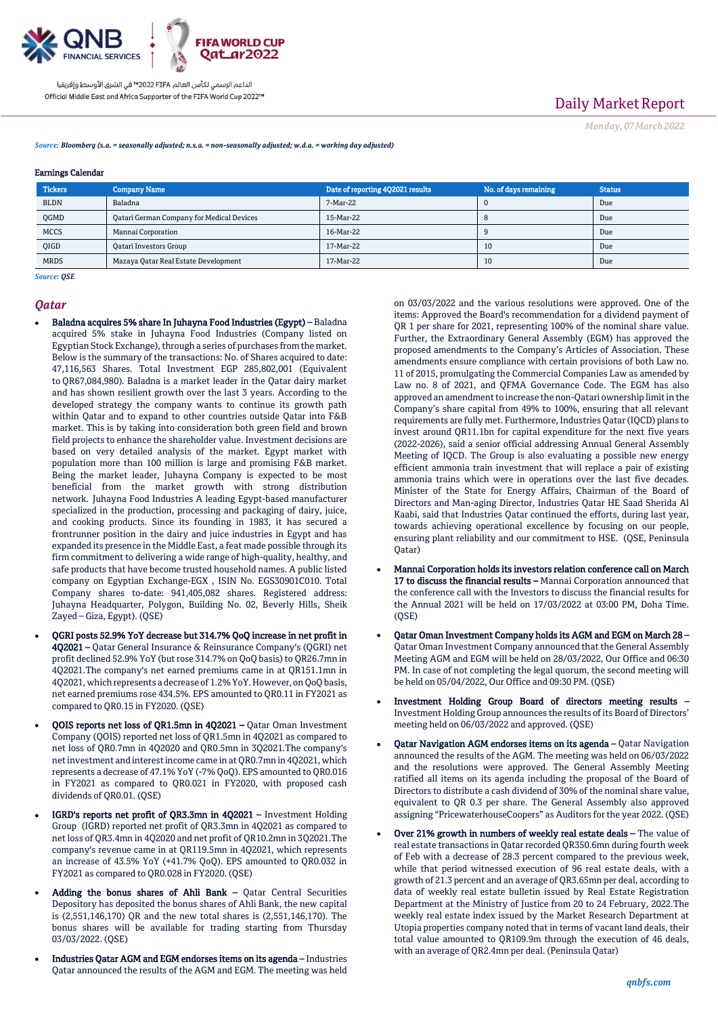

## Daily Market Report

*Monday, 07March2022*

*Source: Bloomberg (s.a. = seasonally adjusted; n.s.a. = non-seasonally adjusted; w.d.a. = working day adjusted)*

#### Earnings Calendar

| <b>Tickers</b> | <b>Company Name</b>                       | Date of reporting 4Q2021 results | No. of days remaining | <b>Status</b> |
|----------------|-------------------------------------------|----------------------------------|-----------------------|---------------|
| <b>BLDN</b>    | Baladna                                   | 7-Mar-22                         |                       | Due           |
| QGMD           | Qatari German Company for Medical Devices | 15-Mar-22                        |                       | Due           |
| <b>MCCS</b>    | Mannai Corporation                        | 16-Mar-22                        |                       | Due           |
| <b>OIGD</b>    | <b>Qatari Investors Group</b>             | 17-Mar-22                        | 10                    | Due           |
| <b>MRDS</b>    | Mazaya Qatar Real Estate Development      | 17-Mar-22                        | 10                    | Due           |

*Source: QSE*

#### *Qatar*

- Baladna acquires 5% share In Juhayna Food Industries (Egypt) Baladna acquired 5% stake in Juhayna Food Industries (Company listed on Egyptian Stock Exchange), through a series of purchases from the market. Below is the summary of the transactions: No. of Shares acquired to date: 47,116,563 Shares. Total Investment EGP 285,802,001 (Equivalent to QR67,084,980). Baladna is a market leader in the Qatar dairy market and has shown resilient growth over the last 3 years. According to the developed strategy the company wants to continue its growth path within Qatar and to expand to other countries outside Qatar into F&B market. This is by taking into consideration both green field and brown field projects to enhance the shareholder value. Investment decisions are based on very detailed analysis of the market. Egypt market with population more than 100 million is large and promising F&B market. Being the market leader, Juhayna Company is expected to be most beneficial from the market growth with strong distribution network. Juhayna Food Industries A leading Egypt-based manufacturer specialized in the production, processing and packaging of dairy, juice, and cooking products. Since its founding in 1983, it has secured a frontrunner position in the dairy and juice industries in Egypt and has expanded its presence in the Middle East, a feat made possible through its firm commitment to delivering a wide range of high-quality, healthy, and safe products that have become trusted household names. A public listed company on Egyptian Exchange-EGX , ISIN No. EGS30901C010. Total Company shares to-date: 941,405,082 shares. Registered address: Juhayna Headquarter, Polygon, Building No. 02, Beverly Hills, Sheik Zayed – Giza, Egypt). (QSE)
- QGRI posts 52.9% YoY decrease but 314.7% QoQ increase in net profit in 4Q2021 – Qatar General Insurance & Reinsurance Company's (QGRI) net profit declined 52.9% YoY (but rose 314.7% on QoQ basis) to QR26.7mn in 4Q2021.The company's net earned premiums came in at QR151.1mn in 4Q2021, which represents a decrease of 1.2% YoY. However, on QoQ basis, net earned premiums rose 434.5%. EPS amounted to QR0.11 in FY2021 as compared to QR0.15 in FY2020. (QSE)
- QOIS reports net loss of QR1.5mn in 4Q2021 Qatar Oman Investment Company (QOIS) reported net loss of QR1.5mn in 4Q2021 as compared to net loss of QR0.7mn in 4Q2020 and QR0.5mn in 3Q2021.The company's net investment and interest income came in at QR0.7mn in 4Q2021, which represents a decrease of 47.1% YoY (-7% QoQ). EPS amounted to QR0.016 in FY2021 as compared to QR0.021 in FY2020, with proposed cash dividends of QR0.01. (QSE)
- IGRD's reports net profit of QR3.3mn in 4Q2021 Investment Holding Group (IGRD) reported net profit of QR3.3mn in 4Q2021 as compared to net loss of QR3.4mn in 4Q2020 and net profit of QR10.2mn in 3Q2021.The company's revenue came in at QR119.5mn in 4Q2021, which represents an increase of 43.5% YoY (+41.7% QoQ). EPS amounted to QR0.032 in FY2021 as compared to QR0.028 in FY2020. (QSE)
- Adding the bonus shares of Ahli Bank Qatar Central Securities Depository has deposited the bonus shares of Ahli Bank, the new capital is (2,551,146,170) QR and the new total shares is (2,551,146,170). The bonus shares will be available for trading starting from Thursday 03/03/2022. (QSE)
- Industries Qatar AGM and EGM endorses items on its agenda Industries Qatar announced the results of the AGM and EGM. The meeting was held

on 03/03/2022 and the various resolutions were approved. One of the items: Approved the Board's recommendation for a dividend payment of QR 1 per share for 2021, representing 100% of the nominal share value. Further, the Extraordinary General Assembly (EGM) has approved the proposed amendments to the Company's Articles of Association. These amendments ensure compliance with certain provisions of both Law no. 11 of 2015, promulgating the Commercial Companies Law as amended by Law no. 8 of 2021, and QFMA Governance Code. The EGM has also approved an amendment to increase the non-Qatari ownership limit in the Company's share capital from 49% to 100%, ensuring that all relevant requirements are fully met. Furthermore, Industries Qatar (IQCD) plans to invest around QR11.1bn for capital expenditure for the next five years (2022-2026), said a senior official addressing Annual General Assembly Meeting of IQCD. The Group is also evaluating a possible new energy efficient ammonia train investment that will replace a pair of existing ammonia trains which were in operations over the last five decades. Minister of the State for Energy Affairs, Chairman of the Board of Directors and Man-aging Director, Industries Qatar HE Saad Sherida Al Kaabi, said that Industries Qatar continued the efforts, during last year, towards achieving operational excellence by focusing on our people, ensuring plant reliability and our commitment to HSE. (QSE, Peninsula Qatar)

- Mannai Corporation holds its investors relation conference call on March 17 to discuss the financial results – Mannai Corporation announced that the conference call with the Investors to discuss the financial results for the Annual 2021 will be held on 17/03/2022 at 03:00 PM, Doha Time.  $(OSE)$
- Qatar Oman Investment Company holds its AGM and EGM on March 28 Qatar Oman Investment Company announced that the General Assembly Meeting AGM and EGM will be held on 28/03/2022, Our Office and 06:30 PM. In case of not completing the legal quorum, the second meeting will be held on 05/04/2022, Our Office and 09:30 PM. (QSE)
- Investment Holding Group Board of directors meeting results Investment Holding Group announces the results of its Board of Directors' meeting held on 06/03/2022 and approved. (QSE)
- Qatar Navigation AGM endorses items on its agenda Qatar Navigation announced the results of the AGM. The meeting was held on 06/03/2022 and the resolutions were approved. The General Assembly Meeting ratified all items on its agenda including the proposal of the Board of Directors to distribute a cash dividend of 30% of the nominal share value, equivalent to QR 0.3 per share. The General Assembly also approved assigning "PricewaterhouseCoopers" as Auditors for the year 2022. (QSE)
- Over 21% growth in numbers of weekly real estate deals The value of real estate transactions in Qatar recorded QR350.6mn during fourth week of Feb with a decrease of 28.3 percent compared to the previous week, while that period witnessed execution of 96 real estate deals, with a growth of 21.3 percent and an average of QR3.65mn per deal, according to data of weekly real estate bulletin issued by Real Estate Registration Department at the Ministry of Justice from 20 to 24 February, 2022.The weekly real estate index issued by the Market Research Department at Utopia properties company noted that in terms of vacant land deals, their total value amounted to QR109.9m through the execution of 46 deals, with an average of QR2.4mn per deal. (Peninsula Qatar)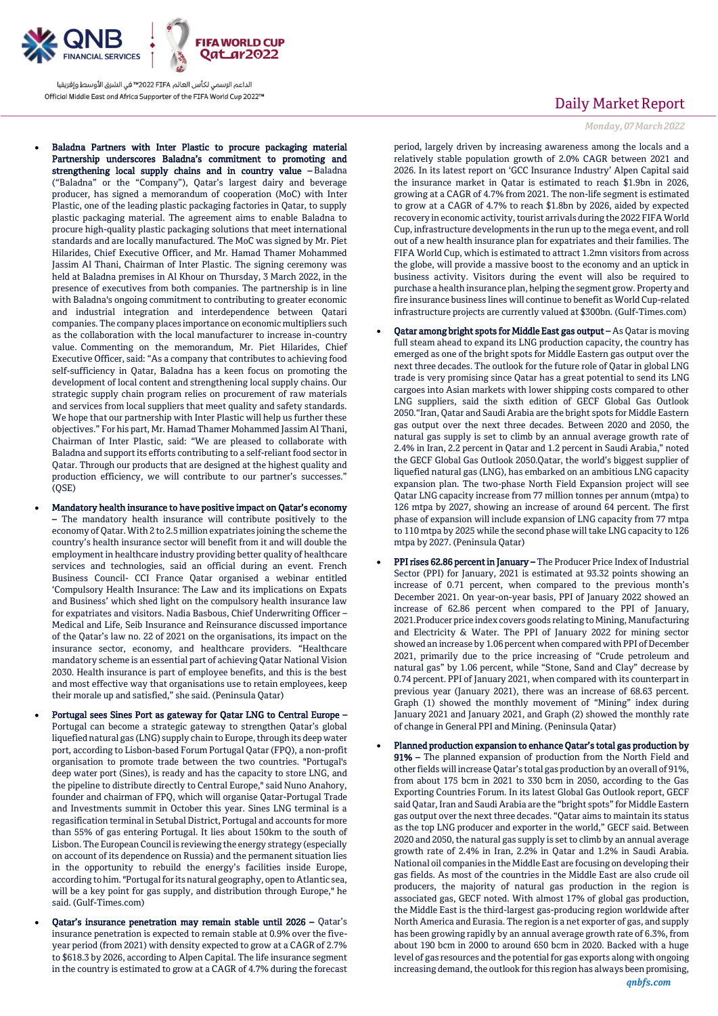

- Baladna Partners with Inter Plastic to procure packaging material Partnership underscores Baladna's commitment to promoting and strengthening local supply chains and in country value – Baladna ("Baladna" or the "Company"), Qatar's largest dairy and beverage producer, has signed a memorandum of cooperation (MoC) with Inter Plastic, one of the leading plastic packaging factories in Qatar, to supply plastic packaging material. The agreement aims to enable Baladna to procure high-quality plastic packaging solutions that meet international standards and are locally manufactured. The MoC was signed by Mr. Piet Hilarides, Chief Executive Officer, and Mr. Hamad Thamer Mohammed Jassim Al Thani, Chairman of Inter Plastic. The signing ceremony was held at Baladna premises in Al Khour on Thursday, 3 March 2022, in the presence of executives from both companies. The partnership is in line with Baladna's ongoing commitment to contributing to greater economic and industrial integration and interdependence between Qatari companies. The company places importance on economic multipliers such as the collaboration with the local manufacturer to increase in-country value. Commenting on the memorandum, Mr. Piet Hilarides, Chief Executive Officer, said: "As a company that contributes to achieving food self-sufficiency in Qatar, Baladna has a keen focus on promoting the development of local content and strengthening local supply chains. Our strategic supply chain program relies on procurement of raw materials and services from local suppliers that meet quality and safety standards. We hope that our partnership with Inter Plastic will help us further these objectives." For his part, Mr. Hamad Thamer Mohammed Jassim Al Thani, Chairman of Inter Plastic, said: "We are pleased to collaborate with Baladna and support its efforts contributing to a self-reliant food sector in Qatar. Through our products that are designed at the highest quality and production efficiency, we will contribute to our partner's successes." (QSE)
- Mandatory health insurance to have positive impact on Qatar's economy – The mandatory health insurance will contribute positively to the economy of Qatar. With 2 to 2.5 million expatriates joining the scheme the country's health insurance sector will benefit from it and will double the employment in healthcare industry providing better quality of healthcare services and technologies, said an official during an event. French Business Council- CCI France Qatar organised a webinar entitled 'Compulsory Health Insurance: The Law and its implications on Expats and Business' which shed light on the compulsory health insurance law for expatriates and visitors. Nadia Basbous, Chief Underwriting Officer – Medical and Life, Seib Insurance and Reinsurance discussed importance of the Qatar's law no. 22 of 2021 on the organisations, its impact on the insurance sector, economy, and healthcare providers. "Healthcare mandatory scheme is an essential part of achieving Qatar National Vision 2030. Health insurance is part of employee benefits, and this is the best and most effective way that organisations use to retain employees, keep their morale up and satisfied," she said. (Peninsula Qatar)
- Portugal sees Sines Port as gateway for Qatar LNG to Central Europe Portugal can become a strategic gateway to strengthen Qatar's global liquefied natural gas (LNG) supply chain to Europe, through its deep water port, according to Lisbon-based Forum Portugal Qatar (FPQ), a non-profit organisation to promote trade between the two countries. "Portugal's deep water port (Sines), is ready and has the capacity to store LNG, and the pipeline to distribute directly to Central Europe," said Nuno Anahory, founder and chairman of FPQ, which will organise Qatar-Portugal Trade and Investments summit in October this year. Sines LNG terminal is a regasification terminal in Setubal District, Portugal and accounts for more than 55% of gas entering Portugal. It lies about 150km to the south of Lisbon. The European Council is reviewing the energy strategy (especially on account of its dependence on Russia) and the permanent situation lies in the opportunity to rebuild the energy's facilities inside Europe, according to him. "Portugal for its natural geography, open to Atlantic sea, will be a key point for gas supply, and distribution through Europe," he said. (Gulf-Times.com)
- Qatar's insurance penetration may remain stable until 2026 Qatar's insurance penetration is expected to remain stable at 0.9% over the fiveyear period (from 2021) with density expected to grow at a CAGR of 2.7% to \$618.3 by 2026, according to Alpen Capital. The life insurance segment in the country is estimated to grow at a CAGR of 4.7% during the forecast

## Daily Market Report

*Monday, 07March2022*

period, largely driven by increasing awareness among the locals and a relatively stable population growth of 2.0% CAGR between 2021 and 2026. In its latest report on 'GCC Insurance Industry' Alpen Capital said the insurance market in Qatar is estimated to reach \$1.9bn in 2026, growing at a CAGR of 4.7% from 2021. The non-life segment is estimated to grow at a CAGR of 4.7% to reach \$1.8bn by 2026, aided by expected recovery in economic activity, tourist arrivals during the 2022 FIFA World Cup, infrastructure developments in the run up to the mega event, and roll out of a new health insurance plan for expatriates and their families. The FIFA World Cup, which is estimated to attract 1.2mn visitors from across the globe, will provide a massive boost to the economy and an uptick in business activity. Visitors during the event will also be required to purchase a health insurance plan, helping the segment grow. Property and fire insurance business lines will continue to benefit as World Cup-related infrastructure projects are currently valued at \$300bn. (Gulf-Times.com)

- Qatar among bright spots for Middle East gas output As Qatar is moving full steam ahead to expand its LNG production capacity, the country has emerged as one of the bright spots for Middle Eastern gas output over the next three decades. The outlook for the future role of Qatar in global LNG trade is very promising since Qatar has a great potential to send its LNG cargoes into Asian markets with lower shipping costs compared to other LNG suppliers, said the sixth edition of GECF Global Gas Outlook 2050."Iran, Qatar and Saudi Arabia are the bright spots for Middle Eastern gas output over the next three decades. Between 2020 and 2050, the natural gas supply is set to climb by an annual average growth rate of 2.4% in Iran, 2.2 percent in Qatar and 1.2 percent in Saudi Arabia," noted the GECF Global Gas Outlook 2050.Qatar, the world's biggest supplier of liquefied natural gas (LNG), has embarked on an ambitious LNG capacity expansion plan. The two-phase North Field Expansion project will see Qatar LNG capacity increase from 77 million tonnes per annum (mtpa) to 126 mtpa by 2027, showing an increase of around 64 percent. The first phase of expansion will include expansion of LNG capacity from 77 mtpa to 110 mtpa by 2025 while the second phase will take LNG capacity to 126 mtpa by 2027. (Peninsula Qatar)
- PPI rises 62.86 percent in January The Producer Price Index of Industrial Sector (PPI) for January, 2021 is estimated at 93.32 points showing an increase of 0.71 percent, when compared to the previous month's December 2021. On year-on-year basis, PPI of January 2022 showed an increase of 62.86 percent when compared to the PPI of January, 2021.Producer price index covers goods relating to Mining, Manufacturing and Electricity & Water. The PPI of January 2022 for mining sector showed an increase by 1.06 percent when compared with PPI of December 2021, primarily due to the price increasing of "Crude petroleum and natural gas" by 1.06 percent, while "Stone, Sand and Clay" decrease by 0.74 percent. PPI of January 2021, when compared with its counterpart in previous year (January 2021), there was an increase of 68.63 percent. Graph (1) showed the monthly movement of "Mining" index during January 2021 and January 2021, and Graph (2) showed the monthly rate of change in General PPI and Mining. (Peninsula Qatar)
- Planned production expansion to enhance Qatar's total gas production by 91% – The planned expansion of production from the North Field and other fields will increase Qatar's total gas production by an overall of 91%, from about 175 bcm in 2021 to 330 bcm in 2050, according to the Gas Exporting Countries Forum. In its latest Global Gas Outlook report, GECF said Qatar, Iran and Saudi Arabia are the "bright spots" for Middle Eastern gas output over the next three decades. "Qatar aims to maintain its status as the top LNG producer and exporter in the world," GECF said. Between 2020 and 2050, the natural gas supply is set to climb by an annual average growth rate of 2.4% in Iran, 2.2% in Qatar and 1.2% in Saudi Arabia. National oil companies in the Middle East are focusing on developing their gas fields. As most of the countries in the Middle East are also crude oil producers, the majority of natural gas production in the region is associated gas, GECF noted. With almost 17% of global gas production, the Middle East is the third-largest gas-producing region worldwide after North America and Eurasia. The region is a net exporter of gas, and supply has been growing rapidly by an annual average growth rate of 6.3%, from about 190 bcm in 2000 to around 650 bcm in 2020. Backed with a huge level of gas resources and the potential for gas exports along with ongoing increasing demand, the outlook for this region has always been promising,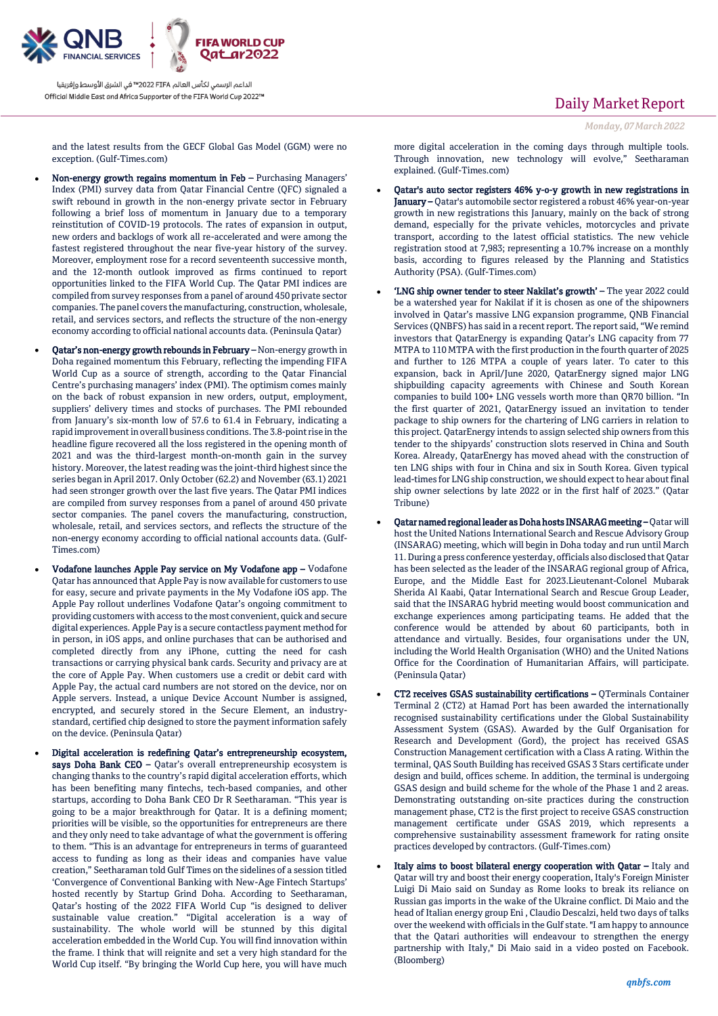

## Daily Market Report

*Monday, 07March2022*

and the latest results from the GECF Global Gas Model (GGM) were no exception. (Gulf-Times.com)

- Non-energy growth regains momentum in Feb Purchasing Managers' Index (PMI) survey data from Qatar Financial Centre (QFC) signaled a swift rebound in growth in the non-energy private sector in February following a brief loss of momentum in January due to a temporary reinstitution of COVID-19 protocols. The rates of expansion in output, new orders and backlogs of work all re-accelerated and were among the fastest registered throughout the near five-year history of the survey. Moreover, employment rose for a record seventeenth successive month, and the 12-month outlook improved as firms continued to report opportunities linked to the FIFA World Cup. The Qatar PMI indices are compiled from survey responses from a panel of around 450 private sector companies. The panel covers the manufacturing, construction, wholesale, retail, and services sectors, and reflects the structure of the non-energy economy according to official national accounts data. (Peninsula Qatar)
- Qatar's non-energy growth rebounds in February Non-energy growth in Doha regained momentum this February, reflecting the impending FIFA World Cup as a source of strength, according to the Qatar Financial Centre's purchasing managers' index (PMI). The optimism comes mainly on the back of robust expansion in new orders, output, employment, suppliers' delivery times and stocks of purchases. The PMI rebounded from January's six-month low of 57.6 to 61.4 in February, indicating a rapid improvement in overall business conditions. The 3.8-point rise in the headline figure recovered all the loss registered in the opening month of 2021 and was the third-largest month-on-month gain in the survey history. Moreover, the latest reading was the joint-third highest since the series began in April 2017. Only October (62.2) and November (63.1) 2021 had seen stronger growth over the last five years. The Qatar PMI indices are compiled from survey responses from a panel of around 450 private sector companies. The panel covers the manufacturing, construction, wholesale, retail, and services sectors, and reflects the structure of the non-energy economy according to official national accounts data. (Gulf-Times.com)
- Vodafone launches Apple Pay service on My Vodafone app Vodafone Qatar has announced that Apple Pay is now available for customers to use for easy, secure and private payments in the My Vodafone iOS app. The Apple Pay rollout underlines Vodafone Qatar's ongoing commitment to providing customers with access to the most convenient, quick and secure digital experiences. Apple Pay is a secure contactless payment method for in person, in iOS apps, and online purchases that can be authorised and completed directly from any iPhone, cutting the need for cash transactions or carrying physical bank cards. Security and privacy are at the core of Apple Pay. When customers use a credit or debit card with Apple Pay, the actual card numbers are not stored on the device, nor on Apple servers. Instead, a unique Device Account Number is assigned, encrypted, and securely stored in the Secure Element, an industrystandard, certified chip designed to store the payment information safely on the device. (Peninsula Qatar)
	- Digital acceleration is redefining Qatar's entrepreneurship ecosystem, says Doha Bank CEO - Qatar's overall entrepreneurship ecosystem is changing thanks to the country's rapid digital acceleration efforts, which has been benefiting many fintechs, tech-based companies, and other startups, according to Doha Bank CEO Dr R Seetharaman. "This year is going to be a major breakthrough for Qatar. It is a defining moment; priorities will be visible, so the opportunities for entrepreneurs are there and they only need to take advantage of what the government is offering to them. "This is an advantage for entrepreneurs in terms of guaranteed access to funding as long as their ideas and companies have value creation," Seetharaman told Gulf Times on the sidelines of a session titled 'Convergence of Conventional Banking with New-Age Fintech Startups' hosted recently by Startup Grind Doha. According to Seetharaman, Qatar's hosting of the 2022 FIFA World Cup "is designed to deliver sustainable value creation." "Digital acceleration is a way of sustainability. The whole world will be stunned by this digital acceleration embedded in the World Cup. You will find innovation within the frame. I think that will reignite and set a very high standard for the World Cup itself. "By bringing the World Cup here, you will have much

more digital acceleration in the coming days through multiple tools. Through innovation, new technology will evolve," Seetharaman explained. (Gulf-Times.com)

- Qatar's auto sector registers 46% y-o-y growth in new registrations in January - Qatar's automobile sector registered a robust 46% year-on-year growth in new registrations this January, mainly on the back of strong demand, especially for the private vehicles, motorcycles and private transport, according to the latest official statistics. The new vehicle registration stood at 7,983; representing a 10.7% increase on a monthly basis, according to figures released by the Planning and Statistics Authority (PSA). (Gulf-Times.com)
- 'LNG ship owner tender to steer Nakilat's growth' The year 2022 could be a watershed year for Nakilat if it is chosen as one of the shipowners involved in Qatar's massive LNG expansion programme, QNB Financial Services (QNBFS) has said in a recent report. The report said, "We remind investors that QatarEnergy is expanding Qatar's LNG capacity from 77 MTPA to 110 MTPA with the first production in the fourth quarter of 2025 and further to 126 MTPA a couple of years later. To cater to this expansion, back in April/June 2020, QatarEnergy signed major LNG shipbuilding capacity agreements with Chinese and South Korean companies to build 100+ LNG vessels worth more than QR70 billion. "In the first quarter of 2021, QatarEnergy issued an invitation to tender package to ship owners for the chartering of LNG carriers in relation to this project. QatarEnergy intends to assign selected ship owners from this tender to the shipyards' construction slots reserved in China and South Korea. Already, QatarEnergy has moved ahead with the construction of ten LNG ships with four in China and six in South Korea. Given typical lead-times for LNG ship construction, we should expect to hear about final ship owner selections by late 2022 or in the first half of 2023." (Qatar Tribune)
- Qatar named regional leader as Doha hosts INSARAG meeting Qatar will host the United Nations International Search and Rescue Advisory Group (INSARAG) meeting, which will begin in Doha today and run until March 11. During a press conference yesterday, officials also disclosed that Qatar has been selected as the leader of the INSARAG regional group of Africa, Europe, and the Middle East for 2023.Lieutenant-Colonel Mubarak Sherida Al Kaabi, Qatar International Search and Rescue Group Leader, said that the INSARAG hybrid meeting would boost communication and exchange experiences among participating teams. He added that the conference would be attended by about 60 participants, both in attendance and virtually. Besides, four organisations under the UN, including the World Health Organisation (WHO) and the United Nations Office for the Coordination of Humanitarian Affairs, will participate. (Peninsula Qatar)
- CT2 receives GSAS sustainability certifications QTerminals Container Terminal 2 (CT2) at Hamad Port has been awarded the internationally recognised sustainability certifications under the Global Sustainability Assessment System (GSAS). Awarded by the Gulf Organisation for Research and Development (Gord), the project has received GSAS Construction Management certification with a Class A rating. Within the terminal, QAS South Building has received GSAS 3 Stars certificate under design and build, offices scheme. In addition, the terminal is undergoing GSAS design and build scheme for the whole of the Phase 1 and 2 areas. Demonstrating outstanding on-site practices during the construction management phase, CT2 is the first project to receive GSAS construction management certificate under GSAS 2019, which represents a comprehensive sustainability assessment framework for rating onsite practices developed by contractors. (Gulf-Times.com)
- Italy aims to boost bilateral energy cooperation with Qatar Italy and Qatar will try and boost their energy cooperation, Italy's Foreign Minister Luigi Di Maio said on Sunday as Rome looks to break its reliance on Russian gas imports in the wake of the Ukraine conflict. Di Maio and the head of Italian energy group Eni , Claudio Descalzi, held two days of talks over the weekend with officials in the Gulf state. "I am happy to announce that the Qatari authorities will endeavour to strengthen the energy partnership with Italy," Di Maio said in a video posted on Facebook. (Bloomberg)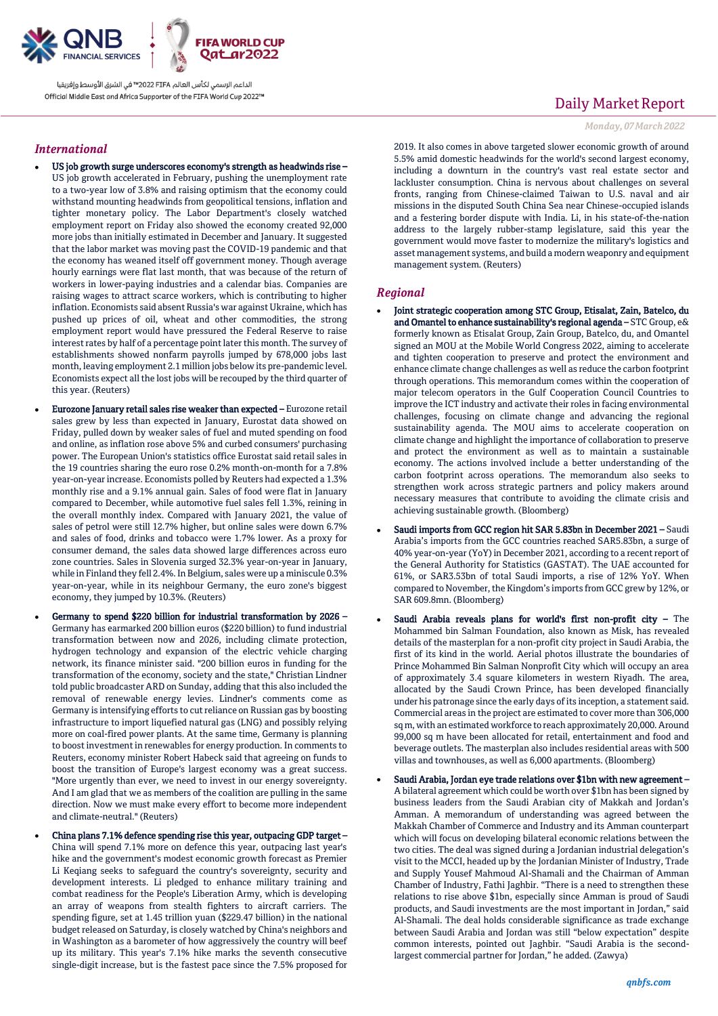

### *International*

- US job growth surge underscores economy's strength as headwinds rise US job growth accelerated in February, pushing the unemployment rate to a two-year low of 3.8% and raising optimism that the economy could withstand mounting headwinds from geopolitical tensions, inflation and tighter monetary policy. The Labor Department's closely watched employment report on Friday also showed the economy created 92,000 more jobs than initially estimated in December and January. It suggested that the labor market was moving past the COVID-19 pandemic and that the economy has weaned itself off government money. Though average hourly earnings were flat last month, that was because of the return of workers in lower-paying industries and a calendar bias. Companies are raising wages to attract scarce workers, which is contributing to higher inflation. Economists said absent Russia's war against Ukraine, which has pushed up prices of oil, wheat and other commodities, the strong employment report would have pressured the Federal Reserve to raise interest rates by half of a percentage point later this month. The survey of establishments showed nonfarm payrolls jumped by 678,000 jobs last month, leaving employment 2.1 million jobs below its pre-pandemic level. Economists expect all the lost jobs will be recouped by the third quarter of this year. (Reuters)
- Eurozone January retail sales rise weaker than expected Eurozone retail sales grew by less than expected in January, Eurostat data showed on Friday, pulled down by weaker sales of fuel and muted spending on food and online, as inflation rose above 5% and curbed consumers' purchasing power. The European Union's statistics office Eurostat said retail sales in the 19 countries sharing the euro rose 0.2% month-on-month for a 7.8% year-on-year increase. Economists polled by Reuters had expected a 1.3% monthly rise and a 9.1% annual gain. Sales of food were flat in January compared to December, while automotive fuel sales fell 1.3%, reining in the overall monthly index. Compared with January 2021, the value of sales of petrol were still 12.7% higher, but online sales were down 6.7% and sales of food, drinks and tobacco were 1.7% lower. As a proxy for consumer demand, the sales data showed large differences across euro zone countries. Sales in Slovenia surged 32.3% year-on-year in January, while in Finland they fell 2.4%. In Belgium, sales were up a miniscule 0.3% year-on-year, while in its neighbour Germany, the euro zone's biggest economy, they jumped by 10.3%. (Reuters)
- Germany to spend \$220 billion for industrial transformation by 2026 Germany has earmarked 200 billion euros (\$220 billion) to fund industrial transformation between now and 2026, including climate protection, hydrogen technology and expansion of the electric vehicle charging network, its finance minister said. "200 billion euros in funding for the transformation of the economy, society and the state," Christian Lindner told public broadcaster ARD on Sunday, adding that this also included the removal of renewable energy levies. Lindner's comments come as Germany is intensifying efforts to cut reliance on Russian gas by boosting infrastructure to import liquefied natural gas (LNG) and possibly relying more on coal-fired power plants. At the same time, Germany is planning to boost investment in renewables for energy production. In comments to Reuters, economy minister Robert Habeck said that agreeing on funds to boost the transition of Europe's largest economy was a great success. "More urgently than ever, we need to invest in our energy sovereignty. And I am glad that we as members of the coalition are pulling in the same direction. Now we must make every effort to become more independent and climate-neutral." (Reuters)
- China plans 7.1% defence spending rise this year, outpacing GDP target China will spend 7.1% more on defence this year, outpacing last year's hike and the government's modest economic growth forecast as Premier Li Keqiang seeks to safeguard the country's sovereignty, security and development interests. Li pledged to enhance military training and combat readiness for the People's Liberation Army, which is developing an array of weapons from stealth fighters to aircraft carriers. The spending figure, set at 1.45 trillion yuan (\$229.47 billion) in the national budget released on Saturday, is closely watched by China's neighbors and in Washington as a barometer of how aggressively the country will beef up its military. This year's 7.1% hike marks the seventh consecutive single-digit increase, but is the fastest pace since the 7.5% proposed for

## Daily Market Report

#### *Monday, 07March2022*

2019. It also comes in above targeted slower economic growth of around 5.5% amid domestic headwinds for the world's second largest economy, including a downturn in the country's vast real estate sector and lackluster consumption. China is nervous about challenges on several fronts, ranging from Chinese-claimed Taiwan to U.S. naval and air missions in the disputed South China Sea near Chinese-occupied islands and a festering border dispute with India. Li, in his state-of-the-nation address to the largely rubber-stamp legislature, said this year the government would move faster to modernize the military's logistics and asset management systems, and build a modern weaponry and equipment management system. (Reuters)

### *Regional*

- Joint strategic cooperation among STC Group, Etisalat, Zain, Batelco, du and Omantel to enhance sustainability's regional agenda – STC Group, e& formerly known as Etisalat Group, Zain Group, Batelco, du, and Omantel signed an MOU at the Mobile World Congress 2022, aiming to accelerate and tighten cooperation to preserve and protect the environment and enhance climate change challenges as well as reduce the carbon footprint through operations. This memorandum comes within the cooperation of major telecom operators in the Gulf Cooperation Council Countries to improve the ICT industry and activate their roles in facing environmental challenges, focusing on climate change and advancing the regional sustainability agenda. The MOU aims to accelerate cooperation on climate change and highlight the importance of collaboration to preserve and protect the environment as well as to maintain a sustainable economy. The actions involved include a better understanding of the carbon footprint across operations. The memorandum also seeks to strengthen work across strategic partners and policy makers around necessary measures that contribute to avoiding the climate crisis and achieving sustainable growth. (Bloomberg)
- Saudi imports from GCC region hit SAR 5.83bn in December 2021 Saudi Arabia's imports from the GCC countries reached SAR5.83bn, a surge of 40% year-on-year (YoY) in December 2021, according to a recent report of the General Authority for Statistics (GASTAT). The UAE accounted for 61%, or SAR3.53bn of total Saudi imports, a rise of 12% YoY. When compared to November, the Kingdom's imports from GCC grew by 12%, or SAR 609.8mn. (Bloomberg)
- Saudi Arabia reveals plans for world's first non-profit city The Mohammed bin Salman Foundation, also known as Misk, has revealed details of the masterplan for a non-profit city project in Saudi Arabia, the first of its kind in the world. Aerial photos illustrate the boundaries of Prince Mohammed Bin Salman Nonprofit City which will occupy an area of approximately 3.4 square kilometers in western Riyadh. The area, allocated by the Saudi Crown Prince, has been developed financially under his patronage since the early days of its inception, a statement said. Commercial areas in the project are estimated to cover more than 306,000 sq m, with an estimated workforce to reach approximately 20,000. Around 99,000 sq m have been allocated for retail, entertainment and food and beverage outlets. The masterplan also includes residential areas with 500 villas and townhouses, as well as 6,000 apartments. (Bloomberg)
- Saudi Arabia, Jordan eye trade relations over \$1bn with new agreement A bilateral agreement which could be worth over \$1bn has been signed by business leaders from the Saudi Arabian city of Makkah and Jordan's Amman. A memorandum of understanding was agreed between the Makkah Chamber of Commerce and Industry and its Amman counterpart which will focus on developing bilateral economic relations between the two cities. The deal was signed during a Jordanian industrial delegation's visit to the MCCI, headed up by the Jordanian Minister of Industry, Trade and Supply Yousef Mahmoud Al-Shamali and the Chairman of Amman Chamber of Industry, Fathi Jaghbir. "There is a need to strengthen these relations to rise above \$1bn, especially since Amman is proud of Saudi products, and Saudi investments are the most important in Jordan," said Al-Shamali. The deal holds considerable significance as trade exchange between Saudi Arabia and Jordan was still "below expectation" despite common interests, pointed out Jaghbir. "Saudi Arabia is the secondlargest commercial partner for Jordan," he added. (Zawya)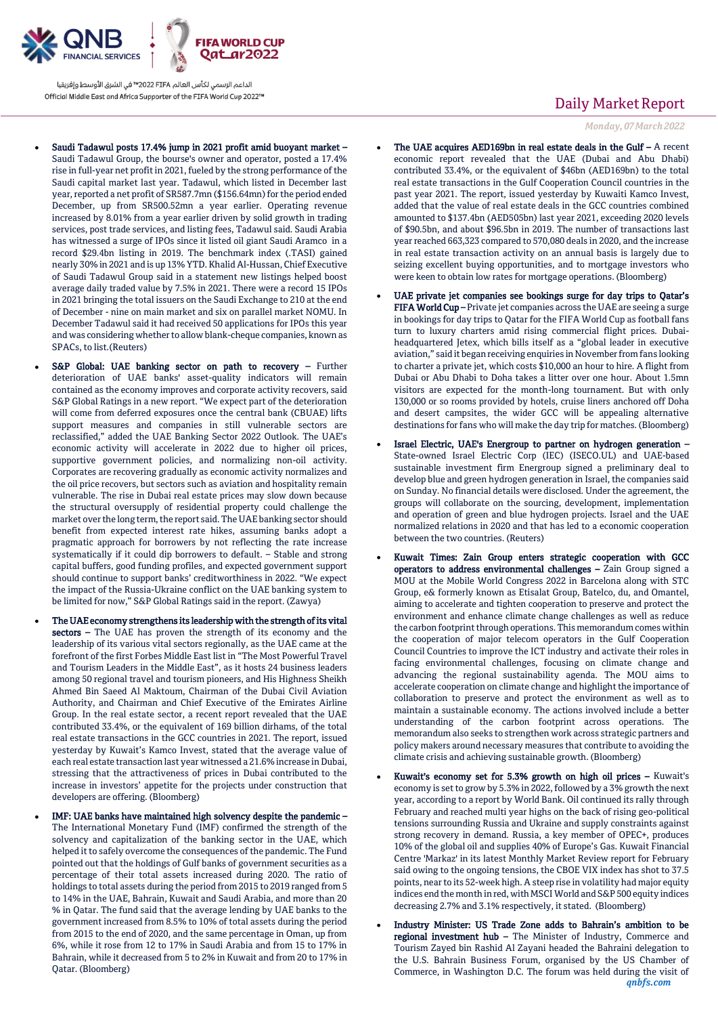

- Saudi Tadawul posts 17.4% jump in 2021 profit amid buoyant market Saudi Tadawul Group, the bourse's owner and operator, posted a 17.4% rise in full-year net profit in 2021, fueled by the strong performance of the Saudi capital market last year. Tadawul, which listed in December last year, reported a net profit of SR587.7mn (\$156.64mn) for the period ended December, up from SR500.52mn a year earlier. Operating revenue increased by 8.01% from a year earlier driven by solid growth in trading services, post trade services, and listing fees, Tadawul said. Saudi Arabia has witnessed a surge of IPOs since it listed oil giant Saudi Aramco in a record \$29.4bn listing in 2019. The benchmark index (.TASI) gained nearly 30% in 2021 and is up 13% YTD. Khalid Al-Hussan, Chief Executive of Saudi Tadawul Group said in a statement new listings helped boost average daily traded value by 7.5% in 2021. There were a record 15 IPOs in 2021 bringing the total issuers on the Saudi Exchange to 210 at the end of December - nine on main market and six on parallel market NOMU. In December Tadawul said it had received 50 applications for IPOs this year and was considering whether to allow blank-cheque companies, known as SPACs, to list.(Reuters)
- S&P Global: UAE banking sector on path to recovery Further deterioration of UAE banks' asset-quality indicators will remain contained as the economy improves and corporate activity recovers, said S&P Global Ratings in a new report. "We expect part of the deterioration will come from deferred exposures once the central bank (CBUAE) lifts support measures and companies in still vulnerable sectors are reclassified," added the UAE Banking Sector 2022 Outlook. The UAE's economic activity will accelerate in 2022 due to higher oil prices, supportive government policies, and normalizing non-oil activity. Corporates are recovering gradually as economic activity normalizes and the oil price recovers, but sectors such as aviation and hospitality remain vulnerable. The rise in Dubai real estate prices may slow down because the structural oversupply of residential property could challenge the market over the long term, the report said. The UAE banking sector should benefit from expected interest rate hikes, assuming banks adopt a pragmatic approach for borrowers by not reflecting the rate increase systematically if it could dip borrowers to default. – Stable and strong capital buffers, good funding profiles, and expected government support should continue to support banks' creditworthiness in 2022. "We expect the impact of the Russia-Ukraine conflict on the UAE banking system to be limited for now," S&P Global Ratings said in the report. (Zawya)
- The UAE economy strengthens its leadership with the strength of its vital sectors – The UAE has proven the strength of its economy and the leadership of its various vital sectors regionally, as the UAE came at the forefront of the first Forbes Middle East list in "The Most Powerful Travel and Tourism Leaders in the Middle East", as it hosts 24 business leaders among 50 regional travel and tourism pioneers, and His Highness Sheikh Ahmed Bin Saeed Al Maktoum, Chairman of the Dubai Civil Aviation Authority, and Chairman and Chief Executive of the Emirates Airline Group. In the real estate sector, a recent report revealed that the UAE contributed 33.4%, or the equivalent of 169 billion dirhams, of the total real estate transactions in the GCC countries in 2021. The report, issued yesterday by Kuwait's Kamco Invest, stated that the average value of each real estate transaction last year witnessed a 21.6% increase in Dubai, stressing that the attractiveness of prices in Dubai contributed to the increase in investors' appetite for the projects under construction that developers are offering. (Bloomberg)
- IMF: UAE banks have maintained high solvency despite the pandemic The International Monetary Fund (IMF) confirmed the strength of the solvency and capitalization of the banking sector in the UAE, which helped it to safely overcome the consequences of the pandemic. The Fund pointed out that the holdings of Gulf banks of government securities as a percentage of their total assets increased during 2020. The ratio of holdings to total assets during the period from 2015 to 2019 ranged from 5 to 14% in the UAE, Bahrain, Kuwait and Saudi Arabia, and more than 20 % in Qatar. The fund said that the average lending by UAE banks to the government increased from 8.5% to 10% of total assets during the period from 2015 to the end of 2020, and the same percentage in Oman, up from 6%, while it rose from 12 to 17% in Saudi Arabia and from 15 to 17% in Bahrain, while it decreased from 5 to 2% in Kuwait and from 20 to 17% in Qatar. (Bloomberg)

## Daily Market Report

*Monday, 07March2022*

- The UAE acquires AED169bn in real estate deals in the Gulf A recent economic report revealed that the UAE (Dubai and Abu Dhabi) contributed 33.4%, or the equivalent of \$46bn (AED169bn) to the total real estate transactions in the Gulf Cooperation Council countries in the past year 2021. The report, issued yesterday by Kuwaiti Kamco Invest, added that the value of real estate deals in the GCC countries combined amounted to \$137.4bn (AED505bn) last year 2021, exceeding 2020 levels of \$90.5bn, and about \$96.5bn in 2019. The number of transactions last year reached 663,323 compared to 570,080 deals in 2020, and the increase in real estate transaction activity on an annual basis is largely due to seizing excellent buying opportunities, and to mortgage investors who were keen to obtain low rates for mortgage operations. (Bloomberg)
- UAE private jet companies see bookings surge for day trips to Qatar's FIFA World Cup – Private jet companies across the UAE are seeing a surge in bookings for day trips to Qatar for the FIFA World Cup as football fans turn to luxury charters amid rising commercial flight prices. Dubaiheadquartered Jetex, which bills itself as a "global leader in executive aviation," said it began receiving enquiries in November from fans looking to charter a private jet, which costs \$10,000 an hour to hire. A flight from Dubai or Abu Dhabi to Doha takes a litter over one hour. About 1.5mn visitors are expected for the month-long tournament. But with only 130,000 or so rooms provided by hotels, cruise liners anchored off Doha and desert campsites, the wider GCC will be appealing alternative destinations for fans who will make the day trip for matches. (Bloomberg)
- Israel Electric, UAE's Energroup to partner on hydrogen generation State-owned Israel Electric Corp (IEC) (ISECO.UL) and UAE-based sustainable investment firm Energroup signed a preliminary deal to develop blue and green hydrogen generation in Israel, the companies said on Sunday. No financial details were disclosed. Under the agreement, the groups will collaborate on the sourcing, development, implementation and operation of green and blue hydrogen projects. Israel and the UAE normalized relations in 2020 and that has led to a economic cooperation between the two countries. (Reuters)
- Kuwait Times: Zain Group enters strategic cooperation with GCC operators to address environmental challenges – Zain Group signed a MOU at the Mobile World Congress 2022 in Barcelona along with STC Group, e& formerly known as Etisalat Group, Batelco, du, and Omantel, aiming to accelerate and tighten cooperation to preserve and protect the environment and enhance climate change challenges as well as reduce the carbon footprint through operations. This memorandum comes within the cooperation of major telecom operators in the Gulf Cooperation Council Countries to improve the ICT industry and activate their roles in facing environmental challenges, focusing on climate change and advancing the regional sustainability agenda. The MOU aims to accelerate cooperation on climate change and highlight the importance of collaboration to preserve and protect the environment as well as to maintain a sustainable economy. The actions involved include a better understanding of the carbon footprint across operations. The memorandum also seeks to strengthen work across strategic partners and policy makers around necessary measures that contribute to avoiding the climate crisis and achieving sustainable growth. (Bloomberg)
- Kuwait's economy set for 5.3% growth on high oil prices Kuwait's economy is set to grow by 5.3% in 2022, followed by a 3% growth the next year, according to a report by World Bank. Oil continued its rally through February and reached multi year highs on the back of rising geo-political tensions surrounding Russia and Ukraine and supply constraints against strong recovery in demand. Russia, a key member of OPEC+, produces 10% of the global oil and supplies 40% of Europe's Gas. Kuwait Financial Centre 'Markaz' in its latest Monthly Market Review report for February said owing to the ongoing tensions, the CBOE VIX index has shot to 37.5 points, near to its 52-week high. A steep rise in volatility had major equity indices end the month in red, with MSCI World and S&P 500 equity indices decreasing 2.7% and 3.1% respectively, it stated. (Bloomberg)
- *qnbfs.com* Industry Minister: US Trade Zone adds to Bahrain's ambition to be regional investment hub – The Minister of Industry, Commerce and Tourism Zayed bin Rashid Al Zayani headed the Bahraini delegation to the U.S. Bahrain Business Forum, organised by the US Chamber of Commerce, in Washington D.C. The forum was held during the visit of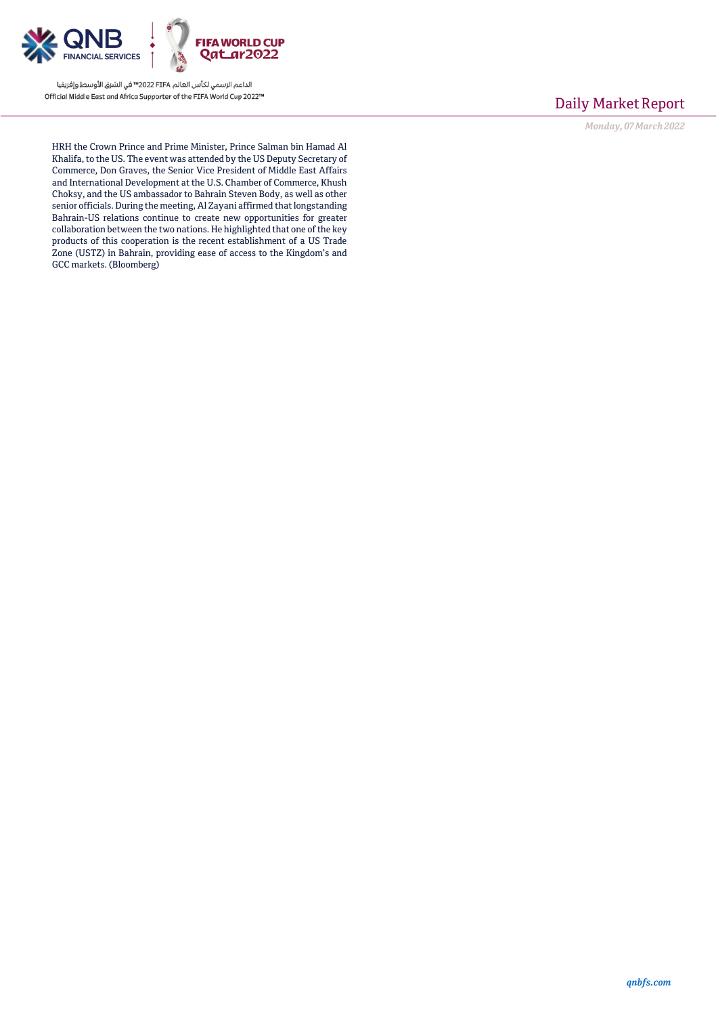

# Daily Market Report

*Monday, 07March2022*

HRH the Crown Prince and Prime Minister, Prince Salman bin Hamad Al Khalifa, to the US. The event was attended by the US Deputy Secretary of Commerce, Don Graves, the Senior Vice President of Middle East Affairs and International Development at the U.S. Chamber of Commerce, Khush Choksy, and the US ambassador to Bahrain Steven Body, as well as other senior officials. During the meeting, Al Zayani affirmed that longstanding Bahrain-US relations continue to create new opportunities for greater collaboration between the two nations. He highlighted that one of the key products of this cooperation is the recent establishment of a US Trade Zone (USTZ) in Bahrain, providing ease of access to the Kingdom's and GCC markets. (Bloomberg)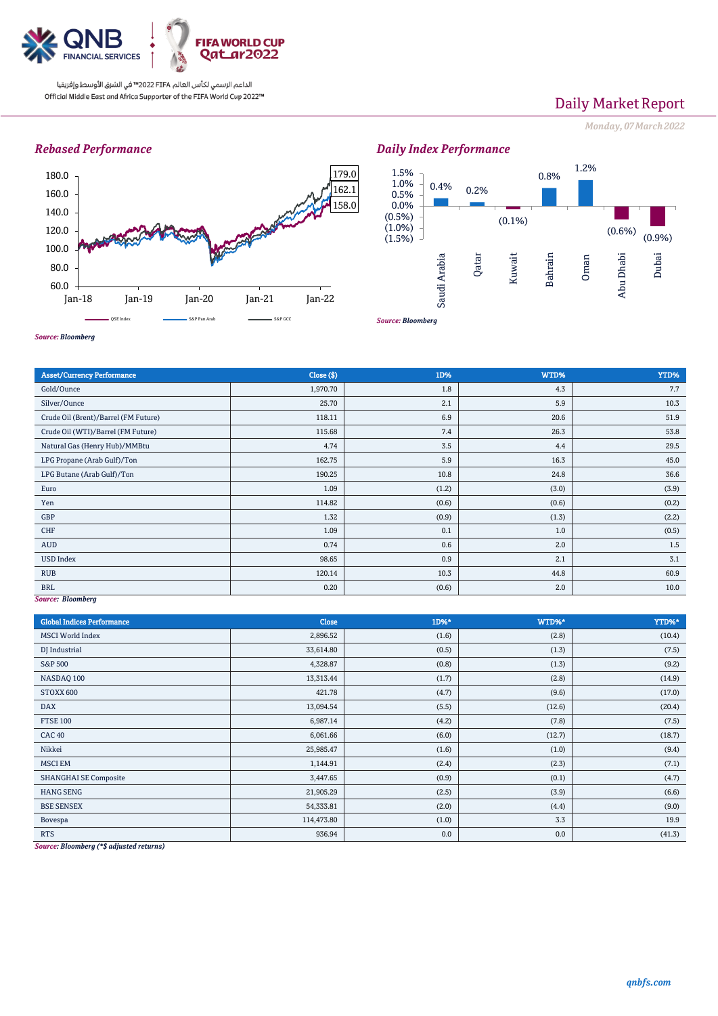

# Daily Market Report

*Monday, 07March2022*

### *Rebased Performance*



*Source: Bloomberg*





*Source: Bloomberg*

| <b>Asset/Currency Performance</b>    | Close (\$) | 1D%   | WTD%  | YTD%  |  |  |  |
|--------------------------------------|------------|-------|-------|-------|--|--|--|
| Gold/Ounce                           | 1,970.70   | 1.8   | 4.3   | 7.7   |  |  |  |
| Silver/Ounce                         | 25.70      | 2.1   | 5.9   | 10.3  |  |  |  |
| Crude Oil (Brent)/Barrel (FM Future) | 118.11     | 6.9   | 20.6  | 51.9  |  |  |  |
| Crude Oil (WTI)/Barrel (FM Future)   | 115.68     | 7.4   | 26.3  | 53.8  |  |  |  |
| Natural Gas (Henry Hub)/MMBtu        | 4.74       | 3.5   | 4.4   | 29.5  |  |  |  |
| LPG Propane (Arab Gulf)/Ton          | 162.75     | 5.9   | 16.3  | 45.0  |  |  |  |
| LPG Butane (Arab Gulf)/Ton           | 190.25     | 10.8  | 24.8  | 36.6  |  |  |  |
| Euro                                 | 1.09       | (1.2) | (3.0) | (3.9) |  |  |  |
| Yen                                  | 114.82     | (0.6) | (0.6) | (0.2) |  |  |  |
| GBP                                  | 1.32       | (0.9) | (1.3) | (2.2) |  |  |  |
| CHF                                  | 1.09       | 0.1   | 1.0   | (0.5) |  |  |  |
| AUD                                  | 0.74       | 0.6   | 2.0   | 1.5   |  |  |  |
| <b>USD Index</b>                     | 98.65      | 0.9   | 2.1   | 3.1   |  |  |  |
| <b>RUB</b>                           | 120.14     | 10.3  | 44.8  | 60.9  |  |  |  |
| <b>BRL</b>                           | 0.20       | (0.6) | 2.0   | 10.0  |  |  |  |
| Source: Bloomberg                    |            |       |       |       |  |  |  |

*Source: Bloomberg*

| <b>Global Indices Performance</b> | Close      | 1D%*  | WTD%*  | YTD%*  |
|-----------------------------------|------------|-------|--------|--------|
| <b>MSCI</b> World Index           | 2,896.52   | (1.6) | (2.8)  | (10.4) |
| DJ Industrial                     | 33,614.80  | (0.5) | (1.3)  | (7.5)  |
| S&P 500                           | 4,328.87   | (0.8) | (1.3)  | (9.2)  |
| NASDAQ 100                        | 13,313.44  | (1.7) | (2.8)  | (14.9) |
| STOXX 600                         | 421.78     | (4.7) | (9.6)  | (17.0) |
| <b>DAX</b>                        | 13,094.54  | (5.5) | (12.6) | (20.4) |
| <b>FTSE 100</b>                   | 6,987.14   | (4.2) | (7.8)  | (7.5)  |
| <b>CAC 40</b>                     | 6,061.66   | (6.0) | (12.7) | (18.7) |
| Nikkei                            | 25,985.47  | (1.6) | (1.0)  | (9.4)  |
| <b>MSCI EM</b>                    | 1,144.91   | (2.4) | (2.3)  | (7.1)  |
| <b>SHANGHAI SE Composite</b>      | 3,447.65   | (0.9) | (0.1)  | (4.7)  |
| <b>HANG SENG</b>                  | 21,905.29  | (2.5) | (3.9)  | (6.6)  |
| <b>BSE SENSEX</b>                 | 54,333.81  | (2.0) | (4.4)  | (9.0)  |
| Bovespa                           | 114,473.80 | (1.0) | 3.3    | 19.9   |
| <b>RTS</b>                        | 936.94     | 0.0   | 0.0    | (41.3) |

*Source: Bloomberg (\*\$ adjusted returns)*